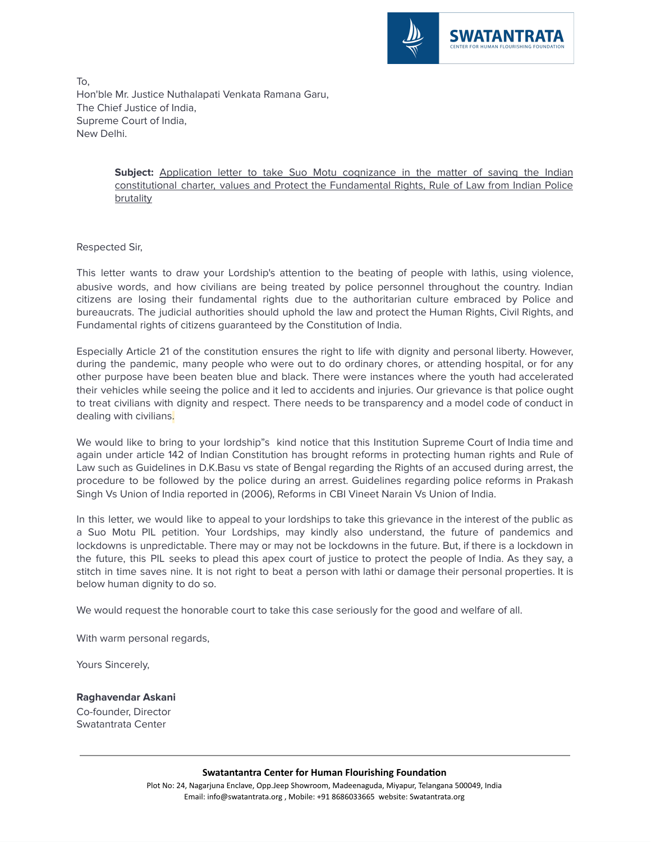

To, Hon'ble Mr. Justice Nuthalapati Venkata Ramana Garu, The Chief Justice of India, Supreme Court of India, New Delhi.

> Subject: Application letter to take Suo Motu cognizance in the matter of saving the Indian constitutional charter, values and Protect the Fundamental Rights, Rule of Law from Indian Police brutality

Respected Sir,

This letter wants to draw your Lordship's attention to the beating of people with lathis, using violence, abusive words, and how civilians are being treated by police personnel throughout the country. Indian citizens are losing their fundamental rights due to the authoritarian culture embraced by Police and bureaucrats. The judicial authorities should uphold the law and protect the Human Rights, Civil Rights, and Fundamental rights of citizens guaranteed by the Constitution of India.

Especially Article 21 of the constitution ensures the right to life with dignity and personal liberty. However, during the pandemic, many people who were out to do ordinary chores, or attending hospital, or for any other purpose have been beaten blue and black. There were instances where the youth had accelerated their vehicles while seeing the police and it led to accidents and injuries. Our grievance is that police ought to treat civilians with dignity and respect. There needs to be transparency and a model code of conduct in dealing with civilians.

We would like to bring to your lordship"s kind notice that this Institution Supreme Court of India time and again under article 142 of Indian Constitution has brought reforms in protecting human rights and Rule of Law such as Guidelines in D.K.Basu vs state of Bengal regarding the Rights of an accused during arrest, the procedure to be followed by the police during an arrest. Guidelines regarding police reforms in Prakash Singh Vs Union of India reported in (2006), Reforms in CBI Vineet Narain Vs Union of India.

In this letter, we would like to appeal to your lordships to take this grievance in the interest of the public as a Suo Motu PIL petition. Your Lordships, may kindly also understand, the future of pandemics and lockdowns is unpredictable. There may or may not be lockdowns in the future. But, if there is a lockdown in the future, this PIL seeks to plead this apex court of justice to protect the people of India. As they say, a stitch in time saves nine. It is not right to beat a person with lathi or damage their personal properties. It is below human dignity to do so.

We would request the honorable court to take this case seriously for the good and welfare of all.

With warm personal regards,

Yours Sincerely,

**Raghavendar Askani** Co-founder, Director Swatantrata Center